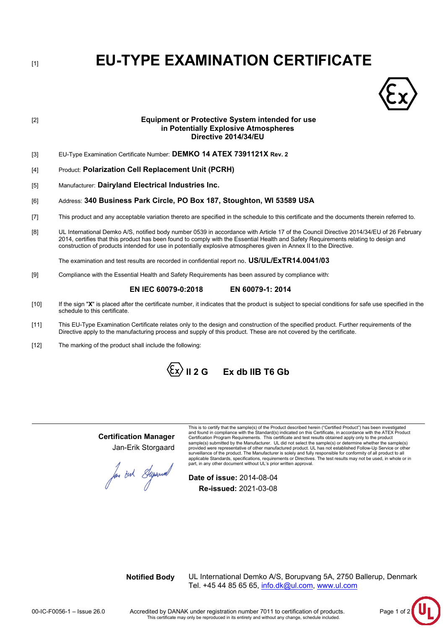[1] **EU-TYPE EXAMINATION CERTIFICATE**



# [2] **Equipment or Protective System intended for use in Potentially Explosive Atmospheres Directive 2014/34/EU**

- [3] EU-Type Examination Certificate Number: **DEMKO 14 ATEX 7391121X Rev. 2**
- [4] Product: **Polarization Cell Replacement Unit (PCRH)**
- [5] Manufacturer: **Dairyland Electrical Industries Inc.**

## [6] Address: **340 Business Park Circle, PO Box 187, Stoughton, WI 53589 USA**

- [7] This product and any acceptable variation thereto are specified in the schedule to this certificate and the documents therein referred to.
- [8] UL International Demko A/S, notified body number 0539 in accordance with Article 17 of the Council Directive 2014/34/EU of 26 February 2014, certifies that this product has been found to comply with the Essential Health and Safety Requirements relating to design and construction of products intended for use in potentially explosive atmospheres given in Annex II to the Directive.

The examination and test results are recorded in confidential report no. **US/UL/ExTR14.0041/03**

[9] Compliance with the Essential Health and Safety Requirements has been assured by compliance with:

# **EN IEC 60079-0:2018 EN 60079-1: 2014**

- [10] If the sign "**X**" is placed after the certificate number, it indicates that the product is subject to special conditions for safe use specified in the schedule to this certificate.
- [11] This EU-Type Examination Certificate relates only to the design and construction of the specified product. Further requirements of the Directive apply to the manufacturing process and supply of this product. These are not covered by the certificate.
- [12] The marking of the product shall include the following:

 $\langle \xi_x \rangle$  II 2 G Ex db IIB T6 Gb

**Certification Manager** Jan-Erik Storgaard

This is to certify that the sample(s) of the Product described herein ("Certified Product") has been investigated<br>and found in compliance with the Standard(s) indicated on this Certificate, in accordance with the ATEX Prod Certification Program Requirements. This certificate and test results obtained apply only to the product sample(s) submitted by the Manufacturer. UL did not select the sample(s) or determine whether the sample(s) provided were representative of other manufactured product. UL has not established Follow-Up Service or other<br>surveillance of the product. The Manufacturer is solely and fully responsible for conformity of all product to a applicable Standards, specifications, requirements or Directives. The test results may not be used, in whole or in part, in any other document without UL's prior written approval.

for out Superior

**Date of issue:** 2014-08-04 **Re-issued:** 2021-03-08

**Notified Body** UL International Demko A/S, Borupvang 5A, 2750 Ballerup, Denmark Tel. +45 44 85 65 65, info.dk@ul.com, [www.ul.com](http://www.ul.com/)

00-IC-F0056-1 – Issue 26.0 Accredited by DANAK under registration number 7011 to certification of products. Page 1 of 2 This certificate may only be reproduced in its entirety and without any change, schedule included.